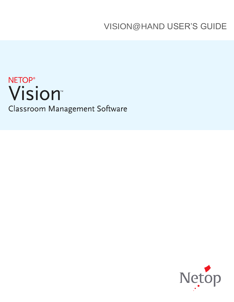VISION@HAND USER'S GUIDE

# NETOP<sup>®</sup><br>Vision® Classroom Management Software

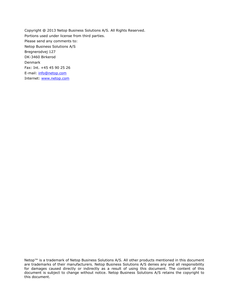Copyright @ 2013 Netop Business Solutions A/S. All Rights Reserved. Portions used under license from third parties. Please send any comments to: Netop Business Solutions A/S Bregnerodvej 127 DK-3460 Birkerod Denmark Fax: Int. +45 45 90 25 26 E-mail: [info@netop.com](mailto:info@netop.com) Internet: [www.netop.com](http://www.netop.com/)

Netop™ is a trademark of Netop Business Solutions A/S. All other products mentioned in this document are trademarks of their manufacturers. Netop Business Solutions A/S denies any and all responsibility for damages caused directly or indirectly as a result of using this document. The content of this document is subject to change without notice. Netop Business Solutions A/S retains the copyright to this document.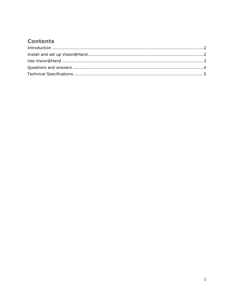# **Contents**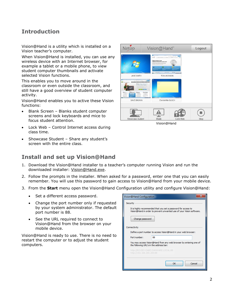### <span id="page-3-0"></span>**Introduction**

Vision@Hand is a utility which is installed on a Vision teacher's computer.

When Vision@Hand is installed, you can use any wireless device with an Internet browser, for example a tablet or a mobile phone, to view student computer thumbnails and activate selected Vision functions.

This enables you to move around in the classroom or even outside the classroom, and still have a good overview of student computer activity.

Vision@Hand enables you to active these Vision functions:

- Blank Screen Blanks student computer screens and lock keyboards and mice to focus student attention.
- Lock Web Control Internet access during class time.
- Showcase Student Share any student's screen with the entire class.

#### <span id="page-3-1"></span>**Install and set up Vision@Hand**

| Netop                                                                              | Vision@Hand"                                                                                                                                                                                                                                                                                                                                                            | Logout |
|------------------------------------------------------------------------------------|-------------------------------------------------------------------------------------------------------------------------------------------------------------------------------------------------------------------------------------------------------------------------------------------------------------------------------------------------------------------------|--------|
| υ<br>勇                                                                             | <b>Guide and</b><br><b>COMPANY</b><br><b>HONDA</b><br>Early Technic College / Health<br>Netop<br>LIMHA<br>$\mathbf{B}$<br>Making promises is easy<br>Helping you keep them is what we do<br>being front silver you was consider to all the heart of assists<br>Co resorte la rigilita dado del tributo del polonico.<br>Nel Autorio Pali Listo architera il Viennesia 1 |        |
| <b>JANE SMITH</b>                                                                  | <b>LEISTING</b><br><b>RAL OF CONSULTAN</b><br><b>TOM JHONSON</b>                                                                                                                                                                                                                                                                                                        |        |
| o.<br>Classroom Mariag<br>Vision There's a Reason it's<br>the World's Most Popular | and the c<br><b>Division</b>                                                                                                                                                                                                                                                                                                                                            |        |
| Vision<br>Vision ren<br>Response<br><b>CONTRACTOR</b><br>CONTRARCTO                | <b>Visce Mobile</b><br><b>SOMAGE</b><br><b>REACH</b><br><b>STATISTICS</b>                                                                                                                                                                                                                                                                                               |        |
| <b>DAVE BROWN</b>                                                                  | <b>EVA MARIA BUSCH</b>                                                                                                                                                                                                                                                                                                                                                  |        |
|                                                                                    |                                                                                                                                                                                                                                                                                                                                                                         |        |
| Showcase student                                                                   | <b>Blank</b><br>Lock Web                                                                                                                                                                                                                                                                                                                                                | Stop   |

Vision@Hand

- 1. Download the Vision@Hand installer to a teacher's computer running Vision and run the downloaded installer: [Vision@Hand.exe.](mailto:Vision@Hand.exe)
- 2. Follow the prompts in the installer. When asked for a password, enter one that you can easily remember. You will use this password to gain access to Vision@Hand from your mobile device.
- 3. From the **Start** menu open the Vision@Hand Configuration utility and configure Vision@Hand:
	- Set a different access password.
	- Change the port number only if requested by your system administrator. The default port number is 88.
	- See the URL required to connect to Vision@Hand from the browser on your mobile device.

Vision@Hand is ready to use. There is no need to restart the computer or to adjust the student computers.

| Vision@Hand Configuration                                                                                                                                              |              |  |  |  |
|------------------------------------------------------------------------------------------------------------------------------------------------------------------------|--------------|--|--|--|
| Security<br>It is highly recommended that you set a password for access to<br>Vision@Hand in order to prevent unwanted use of your Vision software.<br>Change password |              |  |  |  |
| Connectivity                                                                                                                                                           |              |  |  |  |
| Define a port number to access Vision@Hand in your web browser:                                                                                                        |              |  |  |  |
| Port number:                                                                                                                                                           | 88           |  |  |  |
| You may access Vision@Hand from any web browser by entering one of<br>the following URL's in the address bar:                                                          |              |  |  |  |
| http://RO-DEV-OABO.DANWARE.LOCAL:88<br>http://192.168.200.200:88                                                                                                       |              |  |  |  |
|                                                                                                                                                                        | Cancel<br>OK |  |  |  |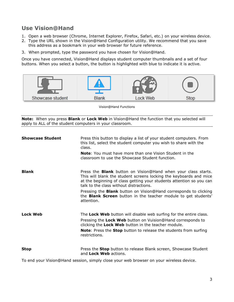## <span id="page-4-0"></span>**Use Vision@Hand**

- 1. Open a web browser (Chrome, Internet Explorer, Firefox, Safari, etc.) on your wireless device.
- 2. Type the URL shown in the Vision@Hand Configuration utility. We recommend that you save this address as a bookmark in your web browser for future reference.
- 3. When prompted, type the password you have chosen for Vision@Hand.

Once you have connected, Vision@Hand displays student computer thumbnails and a set of four buttons. When you select a button, the button is highlighted with blue to indicate it is active.



Vision@Hand Functions

**Note:** When you press **Blank** or **Lock Web** in Vision@Hand the function that you selected will apply to ALL of the student computers in your classroom.

| <b>Showcase Student</b> | Press this button to display a list of your student computers. From<br>this list, select the student computer you wish to share with the<br>class.                                                                                                                         |
|-------------------------|----------------------------------------------------------------------------------------------------------------------------------------------------------------------------------------------------------------------------------------------------------------------------|
|                         | <b>Note:</b> You must have more than one Vision Student in the<br>classroom to use the Showcase Student function.                                                                                                                                                          |
| <b>Blank</b>            | Press the <b>Blank</b> button on Vision@Hand when your class starts.<br>This will blank the student screens locking the keyboards and mice<br>at the beginning of class getting your students attention so you can<br>talk to the class without distractions.              |
|                         | Pressing the <b>Blank</b> button on Vision@Hand corresponds to clicking<br>the <b>Blank Screen</b> button in the teacher module to get students'<br>attention.                                                                                                             |
| <b>Lock Web</b>         | The Lock Web button will disable web surfing for the entire class.<br>Pressing the Lock Web button on Vuision@Hand corresponds to<br>clicking the Lock Web button in the teacher module.<br><b>Note:</b> Press the <b>Stop</b> button to release the students from surfing |
|                         | restrictions.                                                                                                                                                                                                                                                              |
| <b>Stop</b>             | Press the Stop button to release Blank screen, Showcase Student<br>and <b>Lock Web</b> actions.                                                                                                                                                                            |

To end your Vision@Hand session, simply close your web browser on your wireless device.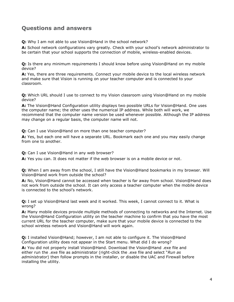#### <span id="page-5-0"></span>**Questions and answers**

**Q:** Why I am not able to use Vision@Hand in the school network?

**A:** School network configurations vary greatly. Check with your school's network administrator to be certain that your school supports the connection of mobile, wireless-enabled devices.

**Q:** Is there any minimum requirements I should know before using Vision@Hand on my mobile device?

**A:** Yes, there are three requirements. Connect your mobile device to the local wireless network and make sure that Vision is running on your teacher computer and is connected to your classroom.

**Q:** Which URL should I use to connect to my Vision classroom using Vision@Hand on my mobile device?

**A:** The Vision@Hand Configuration utility displays two possible URLs for Vision@Hand. One uses the computer name; the other uses the numerical IP address. While both will work, we recommend that the computer name version be used whenever possible. Although the IP address may change on a regular basis, the computer name will not.

**Q:** Can I use Vision@Hand on more than one teacher computer?

**A:** Yes, but each one will have a separate URL. Bookmark each one and you may easily change from one to another.

**Q:** Can I use Vision@Hand in any web browser?

**A:** Yes you can. It does not matter if the web browser is on a mobile device or not.

**Q:** When I am away from the school, I still have the Vision@Hand bookmarks in my browser. Will Vision@Hand work from outside the school?

**A:** No, Vision@Hand cannot be accessed when teacher is far away from school. Vision@Hand does not work from outside the school. It can only access a teacher computer when the mobile device is connected to the school's network.

**Q:** I set up Vision@Hand last week and it worked. This week, I cannot connect to it. What is wrong?

**A:** Many mobile devices provide multiple methods of connecting to networks and the Internet. Use the Vision@Hand Configuration utility on the teacher machine to confirm that you have the most current URL for the teacher computer, make sure that your mobile device is connected to the school wireless network and Vision@Hand will work again.

**Q:** I installed Vision@Hand; however, I am not able to configure it. The Vision@Hand Configuration utility does not appear in the Start menu. What did I do wrong?

**A:** You did not properly install Vision@Hand. Download the Vision@Hand .exe file and either run the .exe file as administrator (right-click the .exe file and select "*Run as administrator*) then follow prompts in the installer, or disable the UAC and Firewall before installing the utility.